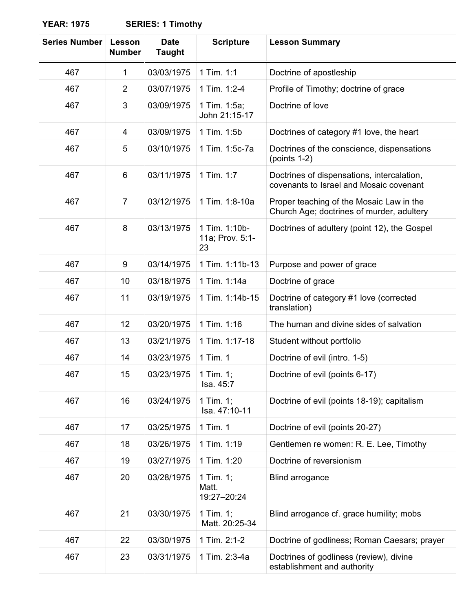| <b>Series Number</b> | Lesson<br><b>Number</b> | <b>Date</b><br><b>Taught</b> | <b>Scripture</b>                       | <b>Lesson Summary</b>                                                                 |
|----------------------|-------------------------|------------------------------|----------------------------------------|---------------------------------------------------------------------------------------|
| 467                  | $\mathbf{1}$            | 03/03/1975                   | 1 Tim. 1:1                             | Doctrine of apostleship                                                               |
| 467                  | $\overline{2}$          | 03/07/1975                   | 1 Tim. 1:2-4                           | Profile of Timothy; doctrine of grace                                                 |
| 467                  | 3                       | 03/09/1975                   | 1 Tim. 1:5a;<br>John 21:15-17          | Doctrine of love                                                                      |
| 467                  | 4                       | 03/09/1975                   | 1 Tim. 1:5b                            | Doctrines of category #1 love, the heart                                              |
| 467                  | 5                       | 03/10/1975                   | 1 Tim. 1:5c-7a                         | Doctrines of the conscience, dispensations<br>(points $1-2$ )                         |
| 467                  | 6                       | 03/11/1975                   | 1 Tim. 1:7                             | Doctrines of dispensations, intercalation,<br>covenants to Israel and Mosaic covenant |
| 467                  | $\overline{7}$          | 03/12/1975                   | 1 Tim. 1:8-10a                         | Proper teaching of the Mosaic Law in the<br>Church Age; doctrines of murder, adultery |
| 467                  | 8                       | 03/13/1975                   | 1 Tim. 1:10b-<br>11a; Prov. 5:1-<br>23 | Doctrines of adultery (point 12), the Gospel                                          |
| 467                  | 9                       | 03/14/1975                   | 1 Tim. 1:11b-13                        | Purpose and power of grace                                                            |
| 467                  | 10                      | 03/18/1975                   | 1 Tim. 1:14a                           | Doctrine of grace                                                                     |
| 467                  | 11                      | 03/19/1975                   | 1 Tim. 1:14b-15                        | Doctrine of category #1 love (corrected<br>translation)                               |
| 467                  | 12 <sub>2</sub>         | 03/20/1975                   | 1 Tim. 1:16                            | The human and divine sides of salvation                                               |
| 467                  | 13                      | 03/21/1975                   | 1 Tim. 1:17-18                         | Student without portfolio                                                             |
| 467                  | 14                      | 03/23/1975                   | 1 Tim. 1                               | Doctrine of evil (intro. 1-5)                                                         |
| 467                  | 15                      | 03/23/1975                   | 1 Tim. 1;<br>Isa. 45:7                 | Doctrine of evil (points 6-17)                                                        |
| 467                  | 16                      | 03/24/1975                   | 1 Tim. $1$ ;<br>Isa. 47:10-11          | Doctrine of evil (points 18-19); capitalism                                           |
| 467                  | 17                      | 03/25/1975                   | 1 Tim. 1                               | Doctrine of evil (points 20-27)                                                       |
| 467                  | 18                      | 03/26/1975                   | 1 Tim. 1:19                            | Gentlemen re women: R. E. Lee, Timothy                                                |
| 467                  | 19                      | 03/27/1975                   | 1 Tim. 1:20                            | Doctrine of reversionism                                                              |
| 467                  | 20                      | 03/28/1975                   | 1 Tim. 1;<br>Matt.<br>19:27-20:24      | <b>Blind arrogance</b>                                                                |
| 467                  | 21                      | 03/30/1975                   | 1 Tim. $1$ ;<br>Matt. 20:25-34         | Blind arrogance cf. grace humility; mobs                                              |
| 467                  | 22                      | 03/30/1975                   | 1 Tim. 2:1-2                           | Doctrine of godliness; Roman Caesars; prayer                                          |
| 467                  | 23                      | 03/31/1975                   | 1 Tim. 2:3-4a                          | Doctrines of godliness (review), divine<br>establishment and authority                |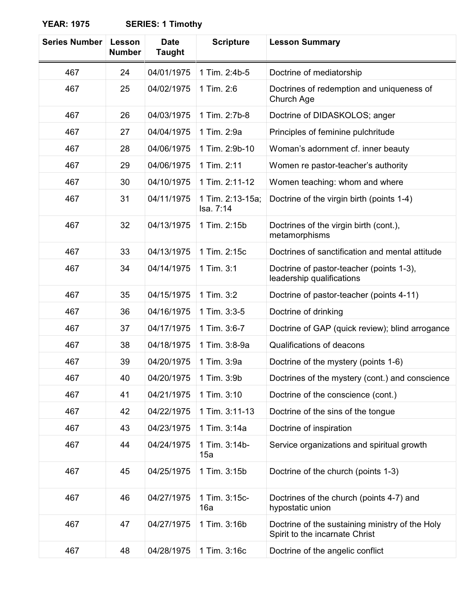| <b>Series Number</b> | Lesson<br><b>Number</b> | <b>Date</b><br><b>Taught</b> | <b>Scripture</b>              | <b>Lesson Summary</b>                                                             |
|----------------------|-------------------------|------------------------------|-------------------------------|-----------------------------------------------------------------------------------|
| 467                  | 24                      | 04/01/1975                   | 1 Tim. 2:4b-5                 | Doctrine of mediatorship                                                          |
| 467                  | 25                      | 04/02/1975                   | 1 Tim. 2:6                    | Doctrines of redemption and uniqueness of<br>Church Age                           |
| 467                  | 26                      | 04/03/1975                   | 1 Tim. 2:7b-8                 | Doctrine of DIDASKOLOS; anger                                                     |
| 467                  | 27                      | 04/04/1975                   | 1 Tim. 2:9a                   | Principles of feminine pulchritude                                                |
| 467                  | 28                      | 04/06/1975                   | 1 Tim. 2:9b-10                | Woman's adornment cf. inner beauty                                                |
| 467                  | 29                      | 04/06/1975                   | 1 Tim. 2:11                   | Women re pastor-teacher's authority                                               |
| 467                  | 30                      | 04/10/1975                   | 1 Tim. 2:11-12                | Women teaching: whom and where                                                    |
| 467                  | 31                      | 04/11/1975                   | 1 Tim. 2:13-15a;<br>Isa. 7:14 | Doctrine of the virgin birth (points 1-4)                                         |
| 467                  | 32                      | 04/13/1975                   | 1 Tim. 2:15b                  | Doctrines of the virgin birth (cont.),<br>metamorphisms                           |
| 467                  | 33                      | 04/13/1975                   | 1 Tim. 2:15c                  | Doctrines of sanctification and mental attitude                                   |
| 467                  | 34                      | 04/14/1975                   | 1 Tim. 3:1                    | Doctrine of pastor-teacher (points 1-3),<br>leadership qualifications             |
| 467                  | 35                      | 04/15/1975                   | 1 Tim. 3:2                    | Doctrine of pastor-teacher (points 4-11)                                          |
| 467                  | 36                      | 04/16/1975                   | 1 Tim. 3:3-5                  | Doctrine of drinking                                                              |
| 467                  | 37                      | 04/17/1975                   | 1 Tim. 3:6-7                  | Doctrine of GAP (quick review); blind arrogance                                   |
| 467                  | 38                      | 04/18/1975                   | 1 Tim. 3:8-9a                 | Qualifications of deacons                                                         |
| 467                  | 39                      | 04/20/1975                   | 1 Tim. 3:9a                   | Doctrine of the mystery (points 1-6)                                              |
| 467                  | 40                      | 04/20/1975   1 Tim. 3:9b     |                               | Doctrines of the mystery (cont.) and conscience                                   |
| 467                  | 41                      | 04/21/1975                   | 1 Tim. 3:10                   | Doctrine of the conscience (cont.)                                                |
| 467                  | 42                      | 04/22/1975                   | 1 Tim. 3:11-13                | Doctrine of the sins of the tongue                                                |
| 467                  | 43                      | 04/23/1975                   | 1 Tim. 3:14a                  | Doctrine of inspiration                                                           |
| 467                  | 44                      | 04/24/1975                   | 1 Tim. 3:14b-<br>15a          | Service organizations and spiritual growth                                        |
| 467                  | 45                      | 04/25/1975                   | 1 Tim. 3:15b                  | Doctrine of the church (points 1-3)                                               |
| 467                  | 46                      | 04/27/1975                   | 1 Tim. 3:15c-<br>16a          | Doctrines of the church (points 4-7) and<br>hypostatic union                      |
| 467                  | 47                      | 04/27/1975                   | 1 Tim. 3:16b                  | Doctrine of the sustaining ministry of the Holy<br>Spirit to the incarnate Christ |
| 467                  | 48                      | 04/28/1975                   | 1 Tim. 3:16c                  | Doctrine of the angelic conflict                                                  |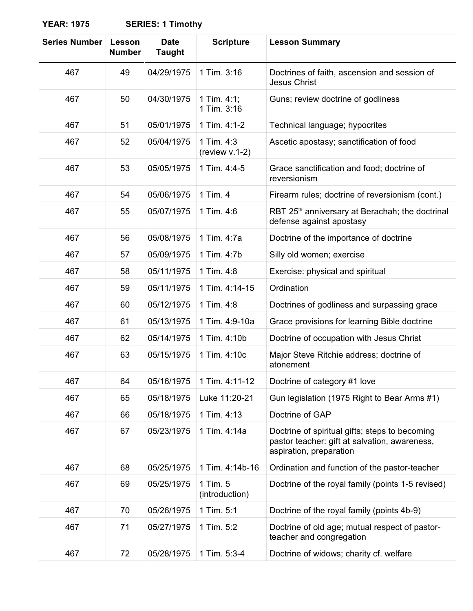| <b>Series Number</b> | Lesson<br><b>Number</b> | <b>Date</b><br><b>Taught</b> | <b>Scripture</b>              | <b>Lesson Summary</b>                                                                                                      |
|----------------------|-------------------------|------------------------------|-------------------------------|----------------------------------------------------------------------------------------------------------------------------|
| 467                  | 49                      | 04/29/1975                   | 1 Tim. 3:16                   | Doctrines of faith, ascension and session of<br><b>Jesus Christ</b>                                                        |
| 467                  | 50                      | 04/30/1975                   | 1 Tim. $4:1$ ;<br>1 Tim. 3:16 | Guns; review doctrine of godliness                                                                                         |
| 467                  | 51                      | 05/01/1975                   | 1 Tim. 4:1-2                  | Technical language; hypocrites                                                                                             |
| 467                  | 52                      | 05/04/1975                   | 1 Tim. 4:3<br>(review v.1-2)  | Ascetic apostasy; sanctification of food                                                                                   |
| 467                  | 53                      | 05/05/1975                   | 1 Tim. 4:4-5                  | Grace sanctification and food; doctrine of<br>reversionism                                                                 |
| 467                  | 54                      | 05/06/1975                   | 1 Tim. 4                      | Firearm rules; doctrine of reversionism (cont.)                                                                            |
| 467                  | 55                      | 05/07/1975                   | 1 Tim. 4:6                    | RBT 25 <sup>th</sup> anniversary at Berachah; the doctrinal<br>defense against apostasy                                    |
| 467                  | 56                      | 05/08/1975                   | 1 Tim. 4:7a                   | Doctrine of the importance of doctrine                                                                                     |
| 467                  | 57                      | 05/09/1975                   | 1 Tim. 4:7b                   | Silly old women; exercise                                                                                                  |
| 467                  | 58                      | 05/11/1975                   | 1 Tim. 4:8                    | Exercise: physical and spiritual                                                                                           |
| 467                  | 59                      | 05/11/1975                   | 1 Tim. 4:14-15                | Ordination                                                                                                                 |
| 467                  | 60                      | 05/12/1975                   | 1 Tim. 4:8                    | Doctrines of godliness and surpassing grace                                                                                |
| 467                  | 61                      | 05/13/1975                   | 1 Tim. 4:9-10a                | Grace provisions for learning Bible doctrine                                                                               |
| 467                  | 62                      | 05/14/1975                   | 1 Tim. 4:10b                  | Doctrine of occupation with Jesus Christ                                                                                   |
| 467                  | 63                      | 05/15/1975                   | 1 Tim. 4:10c                  | Major Steve Ritchie address; doctrine of<br>atonement                                                                      |
| 467                  | 64                      | 05/16/1975                   | 1 Tim. 4:11-12                | Doctrine of category #1 love                                                                                               |
| 467                  | 65                      | 05/18/1975                   | Luke 11:20-21                 | Gun legislation (1975 Right to Bear Arms #1)                                                                               |
| 467                  | 66                      | 05/18/1975                   | 1 Tim. 4:13                   | Doctrine of GAP                                                                                                            |
| 467                  | 67                      | 05/23/1975                   | 1 Tim. 4:14a                  | Doctrine of spiritual gifts; steps to becoming<br>pastor teacher: gift at salvation, awareness,<br>aspiration, preparation |
| 467                  | 68                      | 05/25/1975                   | 1 Tim. 4:14b-16               | Ordination and function of the pastor-teacher                                                                              |
| 467                  | 69                      | 05/25/1975                   | 1 Tim. 5<br>(introduction)    | Doctrine of the royal family (points 1-5 revised)                                                                          |
| 467                  | 70                      | 05/26/1975                   | 1 Tim. 5:1                    | Doctrine of the royal family (points 4b-9)                                                                                 |
| 467                  | 71                      | 05/27/1975                   | 1 Tim. 5:2                    | Doctrine of old age; mutual respect of pastor-<br>teacher and congregation                                                 |
| 467                  | 72                      | 05/28/1975                   | 1 Tim. 5:3-4                  | Doctrine of widows; charity cf. welfare                                                                                    |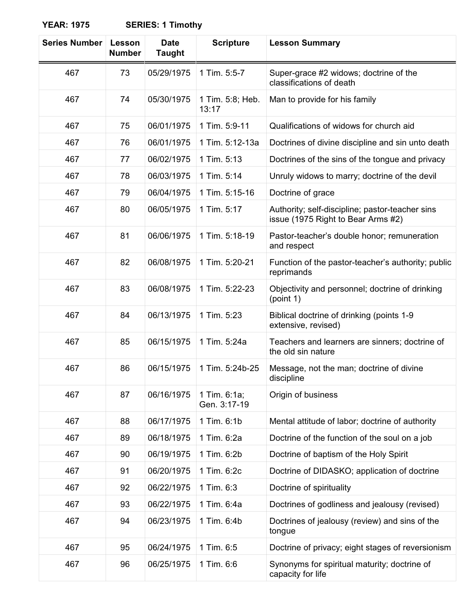| <b>Series Number</b> | Lesson<br><b>Number</b> | <b>Date</b><br><b>Taught</b> | <b>Scripture</b>             | <b>Lesson Summary</b>                                                                 |
|----------------------|-------------------------|------------------------------|------------------------------|---------------------------------------------------------------------------------------|
| 467                  | 73                      | 05/29/1975                   | 1 Tim. 5:5-7                 | Super-grace #2 widows; doctrine of the<br>classifications of death                    |
| 467                  | 74                      | 05/30/1975                   | 1 Tim. 5:8; Heb.<br>13:17    | Man to provide for his family                                                         |
| 467                  | 75                      | 06/01/1975                   | 1 Tim. 5:9-11                | Qualifications of widows for church aid                                               |
| 467                  | 76                      | 06/01/1975                   | 1 Tim. 5:12-13a              | Doctrines of divine discipline and sin unto death                                     |
| 467                  | 77                      | 06/02/1975                   | 1 Tim. 5:13                  | Doctrines of the sins of the tongue and privacy                                       |
| 467                  | 78                      | 06/03/1975                   | 1 Tim. 5:14                  | Unruly widows to marry; doctrine of the devil                                         |
| 467                  | 79                      | 06/04/1975                   | 1 Tim. 5:15-16               | Doctrine of grace                                                                     |
| 467                  | 80                      | 06/05/1975                   | 1 Tim. 5:17                  | Authority; self-discipline; pastor-teacher sins<br>issue (1975 Right to Bear Arms #2) |
| 467                  | 81                      | 06/06/1975                   | 1 Tim. 5:18-19               | Pastor-teacher's double honor; remuneration<br>and respect                            |
| 467                  | 82                      | 06/08/1975                   | 1 Tim. 5:20-21               | Function of the pastor-teacher's authority; public<br>reprimands                      |
| 467                  | 83                      | 06/08/1975                   | 1 Tim. 5:22-23               | Objectivity and personnel; doctrine of drinking<br>(point 1)                          |
| 467                  | 84                      | 06/13/1975                   | 1 Tim. 5:23                  | Biblical doctrine of drinking (points 1-9<br>extensive, revised)                      |
| 467                  | 85                      | 06/15/1975                   | 1 Tim. 5:24a                 | Teachers and learners are sinners; doctrine of<br>the old sin nature                  |
| 467                  | 86                      | 06/15/1975                   | 1 Tim. 5:24b-25              | Message, not the man; doctrine of divine<br>discipline                                |
| 467                  | 87                      | 06/16/1975                   | 1 Tim. 6:1a;<br>Gen. 3:17-19 | Origin of business                                                                    |
| 467                  | 88                      | 06/17/1975                   | 1 Tim. 6:1b                  | Mental attitude of labor; doctrine of authority                                       |
| 467                  | 89                      | 06/18/1975                   | 1 Tim. 6:2a                  | Doctrine of the function of the soul on a job                                         |
| 467                  | 90                      | 06/19/1975                   | 1 Tim. 6:2b                  | Doctrine of baptism of the Holy Spirit                                                |
| 467                  | 91                      | 06/20/1975                   | 1 Tim. 6:2c                  | Doctrine of DIDASKO; application of doctrine                                          |
| 467                  | 92                      | 06/22/1975                   | 1 Tim. 6:3                   | Doctrine of spirituality                                                              |
| 467                  | 93                      | 06/22/1975                   | 1 Tim. 6:4a                  | Doctrines of godliness and jealousy (revised)                                         |
| 467                  | 94                      | 06/23/1975                   | 1 Tim. 6:4b                  | Doctrines of jealousy (review) and sins of the<br>tongue                              |
| 467                  | 95                      | 06/24/1975                   | 1 Tim. 6:5                   | Doctrine of privacy; eight stages of reversionism                                     |
| 467                  | 96                      | 06/25/1975                   | 1 Tim. 6:6                   | Synonyms for spiritual maturity; doctrine of<br>capacity for life                     |